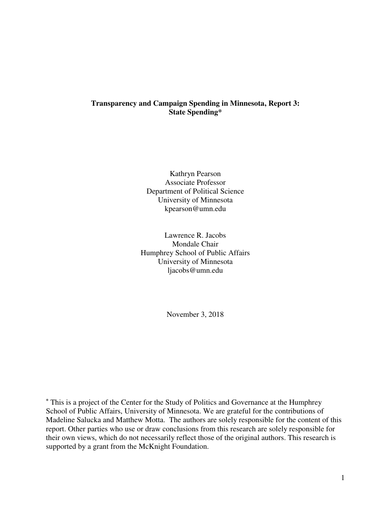#### **Transparency and Campaign Spending in Minnesota, Report 3: State Spending\***

Kathryn Pearson Associate Professor Department of Political Science University of Minnesota kpearson@umn.edu

Lawrence R. Jacobs Mondale Chair Humphrey School of Public Affairs University of Minnesota ljacobs@umn.edu

November 3, 2018

**\*** This is a project of the Center for the Study of Politics and Governance at the Humphrey School of Public Affairs, University of Minnesota. We are grateful for the contributions of Madeline Salucka and Matthew Motta. The authors are solely responsible for the content of this report. Other parties who use or draw conclusions from this research are solely responsible for their own views, which do not necessarily reflect those of the original authors. This research is supported by a grant from the McKnight Foundation.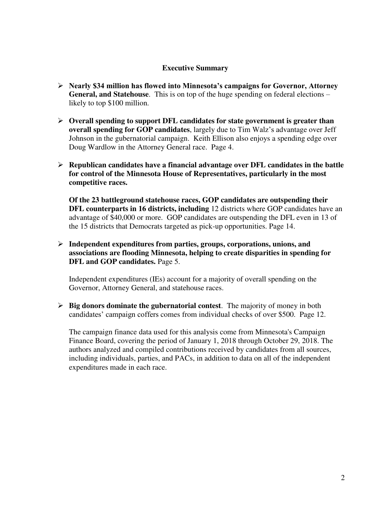#### **Executive Summary**

- **Nearly \$34 million has flowed into Minnesota's campaigns for Governor, Attorney General, and Statehouse**. This is on top of the huge spending on federal elections – likely to top \$100 million.
- **Overall spending to support DFL candidates for state government is greater than overall spending for GOP candidates**, largely due to Tim Walz's advantage over Jeff Johnson in the gubernatorial campaign. Keith Ellison also enjoys a spending edge over Doug Wardlow in the Attorney General race. Page 4.
- **Republican candidates have a financial advantage over DFL candidates in the battle for control of the Minnesota House of Representatives, particularly in the most competitive races.**

**Of the 23 battleground statehouse races, GOP candidates are outspending their DFL counterparts in 16 districts, including** 12 districts where GOP candidates have an advantage of \$40,000 or more. GOP candidates are outspending the DFL even in 13 of the 15 districts that Democrats targeted as pick-up opportunities. Page 14.

 **Independent expenditures from parties, groups, corporations, unions, and associations are flooding Minnesota, helping to create disparities in spending for DFL and GOP candidates.** Page 5.

Independent expenditures (IEs) account for a majority of overall spending on the Governor, Attorney General, and statehouse races.

 **Big donors dominate the gubernatorial contest**. The majority of money in both candidates' campaign coffers comes from individual checks of over \$500. Page 12.

The campaign finance data used for this analysis come from Minnesota's Campaign Finance Board, covering the period of January 1, 2018 through October 29, 2018. The authors analyzed and compiled contributions received by candidates from all sources, including individuals, parties, and PACs, in addition to data on all of the independent expenditures made in each race.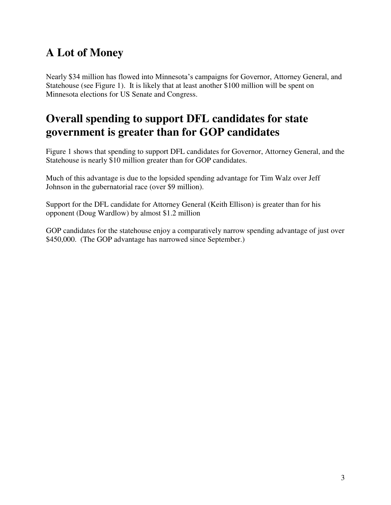# **A Lot of Money**

Nearly \$34 million has flowed into Minnesota's campaigns for Governor, Attorney General, and Statehouse (see Figure 1). It is likely that at least another \$100 million will be spent on Minnesota elections for US Senate and Congress.

## **Overall spending to support DFL candidates for state government is greater than for GOP candidates**

Figure 1 shows that spending to support DFL candidates for Governor, Attorney General, and the Statehouse is nearly \$10 million greater than for GOP candidates.

Much of this advantage is due to the lopsided spending advantage for Tim Walz over Jeff Johnson in the gubernatorial race (over \$9 million).

Support for the DFL candidate for Attorney General (Keith Ellison) is greater than for his opponent (Doug Wardlow) by almost \$1.2 million

GOP candidates for the statehouse enjoy a comparatively narrow spending advantage of just over \$450,000. (The GOP advantage has narrowed since September.)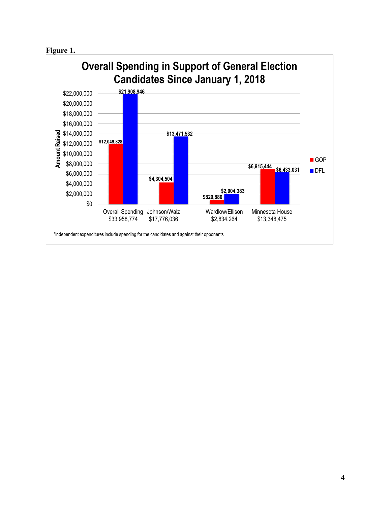

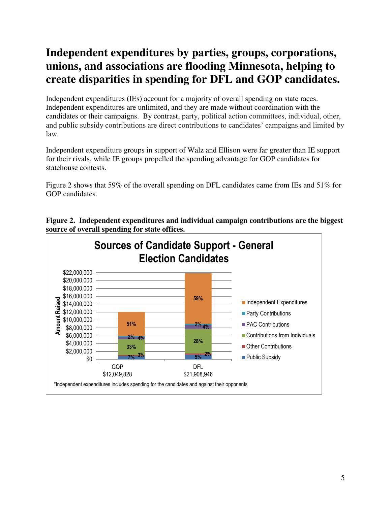## **Independent expenditures by parties, groups, corporations, unions, and associations are flooding Minnesota, helping to create disparities in spending for DFL and GOP candidates.**

Independent expenditures (IEs) account for a majority of overall spending on state races. Independent expenditures are unlimited, and they are made without coordination with the candidates or their campaigns. By contrast, party, political action committees, individual, other, and public subsidy contributions are direct contributions to candidates' campaigns and limited by law.

Independent expenditure groups in support of Walz and Ellison were far greater than IE support for their rivals, while IE groups propelled the spending advantage for GOP candidates for statehouse contests.

Figure 2 shows that 59% of the overall spending on DFL candidates came from IEs and 51% for GOP candidates.

**Figure 2. Independent expenditures and individual campaign contributions are the biggest source of overall spending for state offices.** 

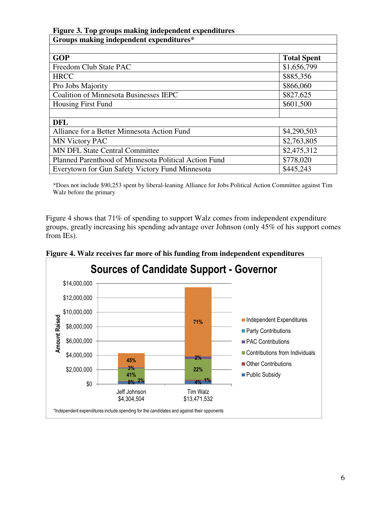| Groups making independent expenditures*               |                    |  |  |  |
|-------------------------------------------------------|--------------------|--|--|--|
|                                                       |                    |  |  |  |
| <b>GOP</b>                                            | <b>Total Spent</b> |  |  |  |
| Freedom Club State PAC                                | \$1,656,799        |  |  |  |
| <b>HRCC</b>                                           | \$885,356          |  |  |  |
| Pro Jobs Majority                                     | \$866,060          |  |  |  |
| <b>Coalition of Minnesota Businesses IEPC</b>         | \$827,625          |  |  |  |
| <b>Housing First Fund</b>                             | \$601,500          |  |  |  |
|                                                       |                    |  |  |  |
| DFL                                                   |                    |  |  |  |
| Alliance for a Better Minnesota Action Fund           | \$4,290,503        |  |  |  |
| <b>MN Victory PAC</b>                                 | \$2,763,805        |  |  |  |
| <b>MN DFL State Central Committee</b>                 | \$2,475,312        |  |  |  |
| Planned Parenthood of Minnesota Political Action Fund | \$778,020          |  |  |  |
| Everytown for Gun Safety Victory Fund Minnesota       | \$445,243          |  |  |  |

**Figure 3. Top groups making independent expenditures** 

\*Does not include \$90,253 spent by liberal-leaning Alliance for Jobs Political Action Committee against Tim Walz before the primary

Figure 4 shows that 71% of spending to support Walz comes from independent expenditure groups, greatly increasing his spending advantage over Johnson (only 45% of his support comes from IEs).



**Figure 4. Walz receives far more of his funding from independent expenditures**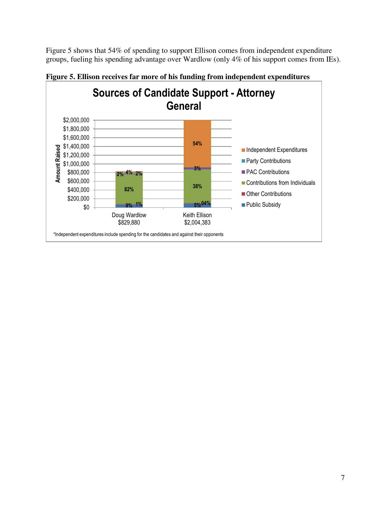Figure 5 shows that 54% of spending to support Ellison comes from independent expenditure groups, fueling his spending advantage over Wardlow (only 4% of his support comes from IEs).



**Figure 5. Ellison receives far more of his funding from independent expenditures**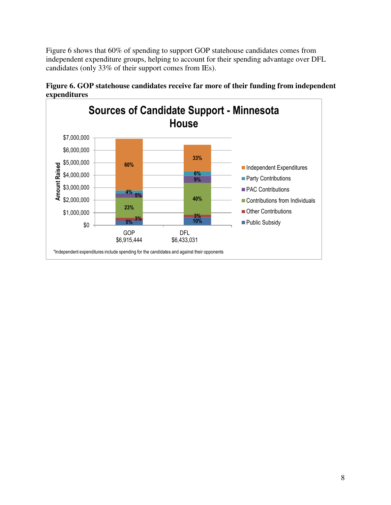Figure 6 shows that 60% of spending to support GOP statehouse candidates comes from independent expenditure groups, helping to account for their spending advantage over DFL candidates (only 33% of their support comes from IEs).



**Figure 6. GOP statehouse candidates receive far more of their funding from independent expenditures**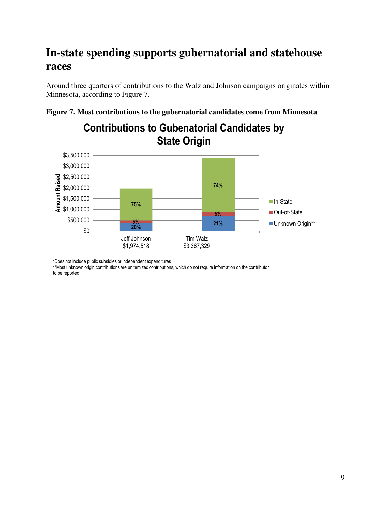## **In-state spending supports gubernatorial and statehouse races**

Around three quarters of contributions to the Walz and Johnson campaigns originates within Minnesota, according to Figure 7.



**Figure 7. Most contributions to the gubernatorial candidates come from Minnesota**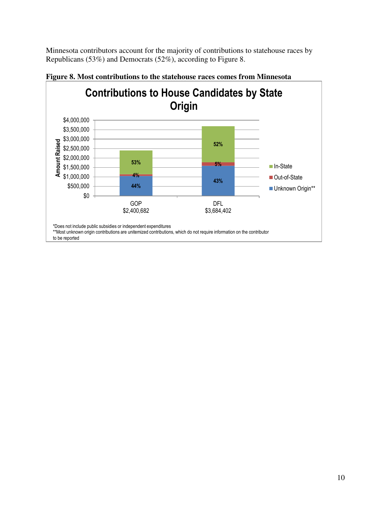Minnesota contributors account for the majority of contributions to statehouse races by Republicans (53%) and Democrats (52%), according to Figure 8.



**Figure 8. Most contributions to the statehouse races comes from Minnesota**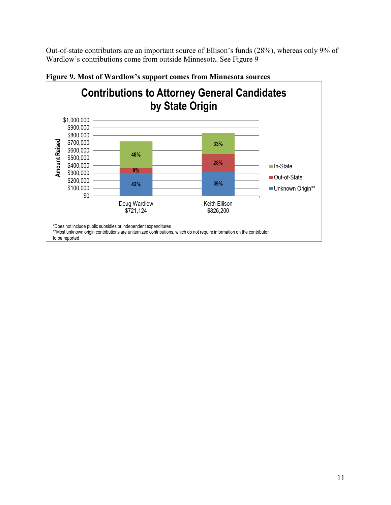Out-of-state contributors are an important source of Ellison's funds (28%), whereas only 9% of Wardlow's contributions come from outside Minnesota. See Figure 9



**Figure 9. Most of Wardlow's support comes from Minnesota sources**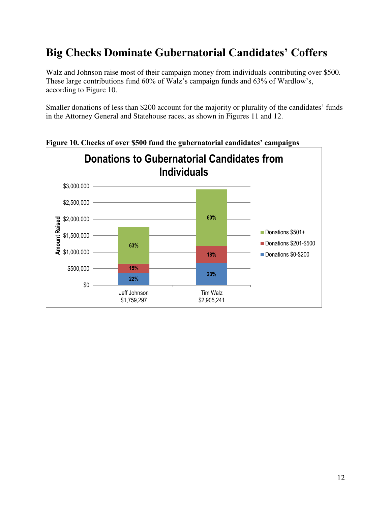# **Big Checks Dominate Gubernatorial Candidates' Coffers**

Walz and Johnson raise most of their campaign money from individuals contributing over \$500. These large contributions fund 60% of Walz's campaign funds and 63% of Wardlow's, according to Figure 10.

Smaller donations of less than \$200 account for the majority or plurality of the candidates' funds in the Attorney General and Statehouse races, as shown in Figures 11 and 12.



**Figure 10. Checks of over \$500 fund the gubernatorial candidates' campaigns**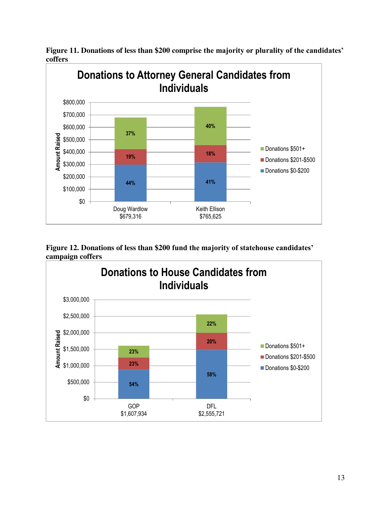

**Figure 11. Donations of less than \$200 comprise the majority or plurality of the candidates' coffers**

**Figure 12. Donations of less than \$200 fund the majority of statehouse candidates' campaign coffers** 

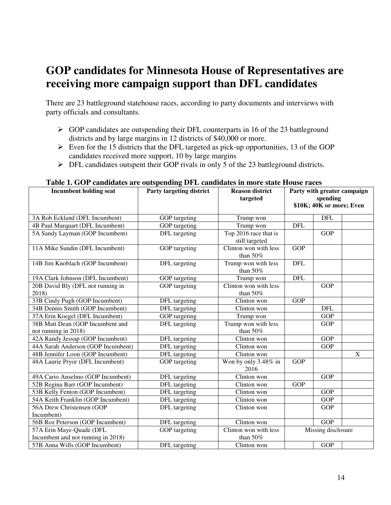### **GOP candidates for Minnesota House of Representatives are receiving more campaign support than DFL candidates**

There are 23 battleground statehouse races, according to party documents and interviews with party officials and consultants.

- $\triangleright$  GOP candidates are outspending their DFL counterparts in 16 of the 23 battleground districts and by large margins in 12 districts of \$40,000 or more.
- $\triangleright$  Even for the 15 districts that the DFL targeted as pick-up opportunities, 13 of the GOP candidates received more support, 10 by large margins
- DFL candidates outspent their GOP rivals in only 5 of the 23 battleground districts.

| it is one canonique are outspending by B canoniques in more state from Figure<br><b>Incumbent holding seat</b> | Party targeting district | <b>Reason district</b><br>targeted      | Party with greater campaign<br>spending<br>\$10K; 40K or more; Even |            |             |
|----------------------------------------------------------------------------------------------------------------|--------------------------|-----------------------------------------|---------------------------------------------------------------------|------------|-------------|
| 3A Rob Eckland (DFL Incumbent)                                                                                 | GOP targeting            | Trump won                               |                                                                     | <b>DFL</b> |             |
| 4B Paul Marquart (DFL Incumbent)                                                                               | GOP targeting            | Trump won                               | <b>DFL</b>                                                          |            |             |
| 5A Sandy Layman (GOP Incumbent)                                                                                | DFL targeting            | Top 2016 race that is<br>still targeted |                                                                     | <b>GOP</b> |             |
| 11A Mike Sundin (DFL Incumbent)                                                                                | GOP targeting            | Clinton won with less<br>than $50\%$    | <b>GOP</b>                                                          |            |             |
| 14B Jim Knoblach (GOP Incumbent)                                                                               | DFL targeting            | Trump won with less<br>than 50%         | <b>DFL</b>                                                          |            |             |
| 19A Clark Johnson (DFL Incumbent)                                                                              | GOP targeting            | Trump won                               | <b>DFL</b>                                                          |            |             |
| 20B David Bly (DFL not running in<br>2018)                                                                     | GOP targeting            | Clinton won with less<br>than 50%       |                                                                     | <b>GOP</b> |             |
| 33B Cindy Pugh (GOP Incumbent)                                                                                 | DFL targeting            | Clinton won                             | <b>GOP</b>                                                          |            |             |
| 34B Dennis Smith (GOP Incumbent)                                                                               | <b>DFL</b> targeting     | Clinton won                             |                                                                     | <b>DFL</b> |             |
| 37A Erin Koegel (DFL Incumbent)                                                                                | GOP targeting            | Trump won                               |                                                                     | <b>GOP</b> |             |
| 38B Matt Dean (GOP Incumbent and                                                                               | DFL targeting            | Trump won with less                     |                                                                     | <b>GOP</b> |             |
| not running in 2018)                                                                                           |                          | than $50\%$                             |                                                                     |            |             |
| 42A Randy Jessup (GOP Incumbent)                                                                               | DFL targeting            | Clinton won                             |                                                                     | <b>GOP</b> |             |
| 44A Sarah Anderson (GOP Incumbent)                                                                             | DFL targeting            | Clinton won                             |                                                                     | <b>GOP</b> |             |
| 48B Jennifer Loon (GOP Incumbent)                                                                              | DFL targeting            | Clinton won                             |                                                                     |            | $\mathbf X$ |
| 48A Laurie Pryor (DFL Incumbent)                                                                               | GOP targeting            | Won by only 3.48% in<br>2016            | <b>GOP</b>                                                          |            |             |
| 49A Cario Anselmo (GOP Incumbent)                                                                              | DFL targeting            | Clinton won                             |                                                                     | <b>GOP</b> |             |
| 52B Regina Barr (GOP Incumbent)                                                                                | DFL targeting            | Clinton won                             | <b>GOP</b>                                                          |            |             |
| 53B Kelly Fenton (GOP Incumbent)                                                                               | DFL targeting            | Clinton won                             |                                                                     | <b>GOP</b> |             |
| 54A Keith Franklin (GOP Incumbent)                                                                             | DFL targeting            | Clinton won                             |                                                                     | <b>GOP</b> |             |
| 56A Drew Christensen (GOP<br>Incumbent)                                                                        | DFL targeting            | Clinton won                             |                                                                     | <b>GOP</b> |             |
| 56B Roz Peterson (GOP Incumbent)                                                                               | DFL targeting            | Clinton won                             |                                                                     | <b>GOP</b> |             |
| 57A Erin Maye-Quade (DFL<br>Incumbent and not running in 2018)                                                 | GOP targeting            | Clinton won with less<br>than 50%       | Missing disclosure                                                  |            |             |
| 57B Anna Wills (GOP Incumbent)                                                                                 | DFL targeting            | Clinton won                             |                                                                     | <b>GOP</b> |             |

#### **Table 1. GOP candidates are outspending DFL candidates in more state House races**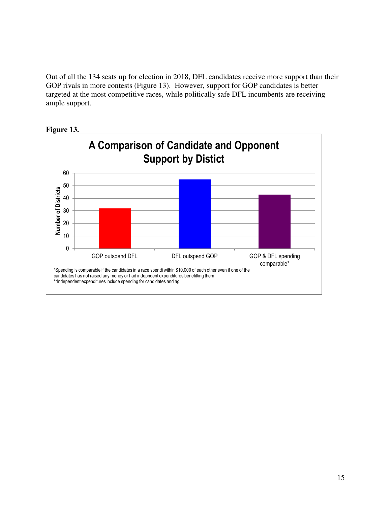Out of all the 134 seats up for election in 2018, DFL candidates receive more support than their GOP rivals in more contests (Figure 13). However, support for GOP candidates is better targeted at the most competitive races, while politically safe DFL incumbents are receiving ample support.



#### **Figure 13.**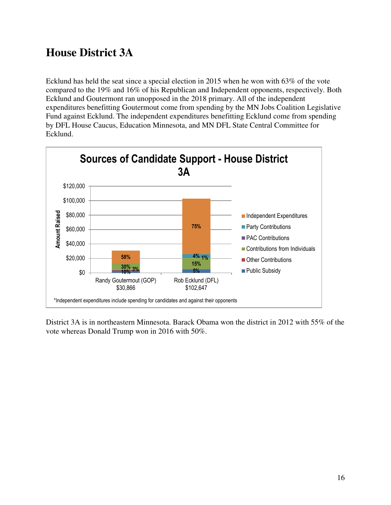## **House District 3A**

Ecklund has held the seat since a special election in 2015 when he won with 63% of the vote compared to the 19% and 16% of his Republican and Independent opponents, respectively. Both Ecklund and Goutermont ran unopposed in the 2018 primary. All of the independent expenditures benefitting Goutermout come from spending by the MN Jobs Coalition Legislative Fund against Ecklund. The independent expenditures benefitting Ecklund come from spending by DFL House Caucus, Education Minnesota, and MN DFL State Central Committee for Ecklund.



District 3A is in northeastern Minnesota. Barack Obama won the district in 2012 with 55% of the vote whereas Donald Trump won in 2016 with 50%.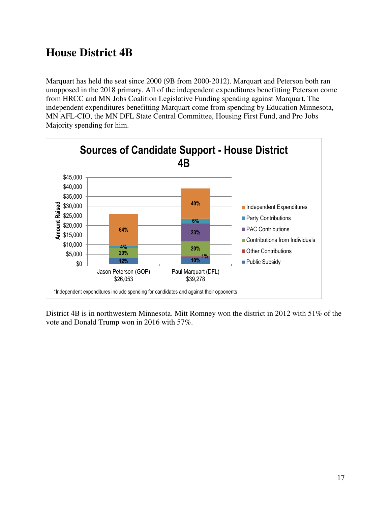## **House District 4B**

Marquart has held the seat since 2000 (9B from 2000-2012). Marquart and Peterson both ran unopposed in the 2018 primary. All of the independent expenditures benefitting Peterson come from HRCC and MN Jobs Coalition Legislative Funding spending against Marquart. The independent expenditures benefitting Marquart come from spending by Education Minnesota, MN AFL-CIO, the MN DFL State Central Committee, Housing First Fund, and Pro Jobs Majority spending for him.



District 4B is in northwestern Minnesota. Mitt Romney won the district in 2012 with 51% of the vote and Donald Trump won in 2016 with 57%.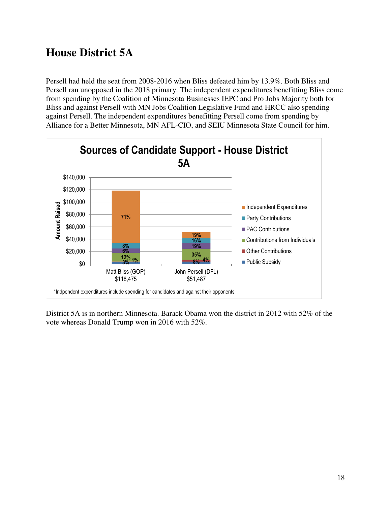## **House District 5A**

Persell had held the seat from 2008-2016 when Bliss defeated him by 13.9%. Both Bliss and Persell ran unopposed in the 2018 primary. The independent expenditures benefitting Bliss come from spending by the Coalition of Minnesota Businesses IEPC and Pro Jobs Majority both for Bliss and against Persell with MN Jobs Coalition Legislative Fund and HRCC also spending against Persell. The independent expenditures benefitting Persell come from spending by Alliance for a Better Minnesota, MN AFL-CIO, and SEIU Minnesota State Council for him.



District 5A is in northern Minnesota. Barack Obama won the district in 2012 with 52% of the vote whereas Donald Trump won in 2016 with 52%.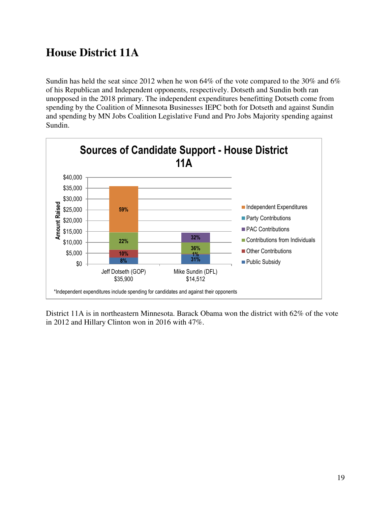## **House District 11A**

Sundin has held the seat since 2012 when he won 64% of the vote compared to the 30% and 6% of his Republican and Independent opponents, respectively. Dotseth and Sundin both ran unopposed in the 2018 primary. The independent expenditures benefitting Dotseth come from spending by the Coalition of Minnesota Businesses IEPC both for Dotseth and against Sundin and spending by MN Jobs Coalition Legislative Fund and Pro Jobs Majority spending against Sundin.



District 11A is in northeastern Minnesota. Barack Obama won the district with 62% of the vote in 2012 and Hillary Clinton won in 2016 with 47%.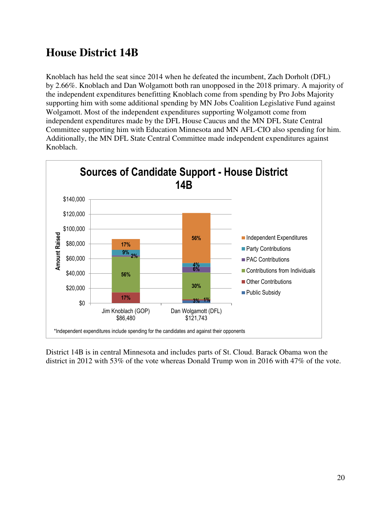## **House District 14B**

Knoblach has held the seat since 2014 when he defeated the incumbent, Zach Dorholt (DFL) by 2.66%. Knoblach and Dan Wolgamott both ran unopposed in the 2018 primary. A majority of the independent expenditures benefitting Knoblach come from spending by Pro Jobs Majority supporting him with some additional spending by MN Jobs Coalition Legislative Fund against Wolgamott. Most of the independent expenditures supporting Wolgamott come from independent expenditures made by the DFL House Caucus and the MN DFL State Central Committee supporting him with Education Minnesota and MN AFL-CIO also spending for him. Additionally, the MN DFL State Central Committee made independent expenditures against Knoblach.



District 14B is in central Minnesota and includes parts of St. Cloud. Barack Obama won the district in 2012 with 53% of the vote whereas Donald Trump won in 2016 with 47% of the vote.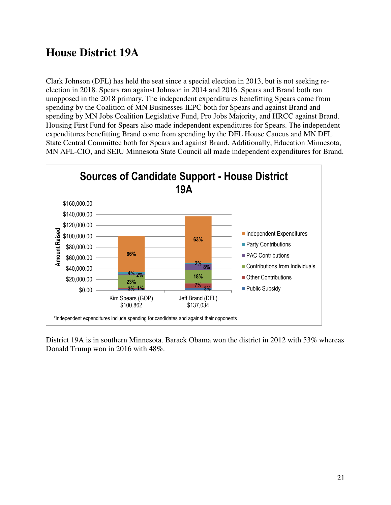#### **House District 19A**

Clark Johnson (DFL) has held the seat since a special election in 2013, but is not seeking reelection in 2018. Spears ran against Johnson in 2014 and 2016. Spears and Brand both ran unopposed in the 2018 primary. The independent expenditures benefitting Spears come from spending by the Coalition of MN Businesses IEPC both for Spears and against Brand and spending by MN Jobs Coalition Legislative Fund, Pro Jobs Majority, and HRCC against Brand. Housing First Fund for Spears also made independent expenditures for Spears. The independent expenditures benefitting Brand come from spending by the DFL House Caucus and MN DFL State Central Committee both for Spears and against Brand. Additionally, Education Minnesota, MN AFL-CIO, and SEIU Minnesota State Council all made independent expenditures for Brand.



District 19A is in southern Minnesota. Barack Obama won the district in 2012 with 53% whereas Donald Trump won in 2016 with 48%.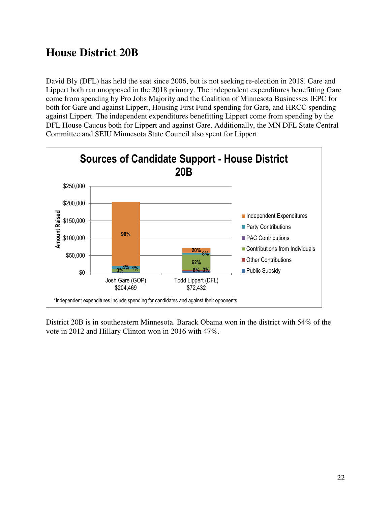## **House District 20B**

David Bly (DFL) has held the seat since 2006, but is not seeking re-election in 2018. Gare and Lippert both ran unopposed in the 2018 primary. The independent expenditures benefitting Gare come from spending by Pro Jobs Majority and the Coalition of Minnesota Businesses IEPC for both for Gare and against Lippert, Housing First Fund spending for Gare, and HRCC spending against Lippert. The independent expenditures benefitting Lippert come from spending by the DFL House Caucus both for Lippert and against Gare. Additionally, the MN DFL State Central Committee and SEIU Minnesota State Council also spent for Lippert.



District 20B is in southeastern Minnesota. Barack Obama won in the district with 54% of the vote in 2012 and Hillary Clinton won in 2016 with 47%.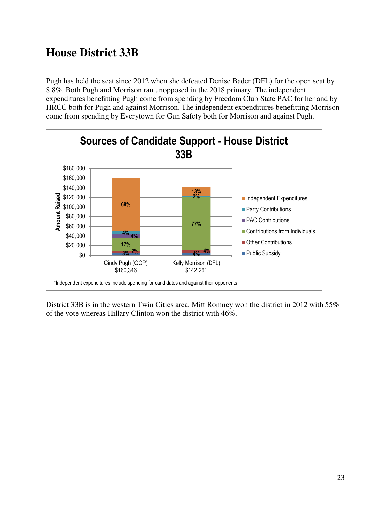## **House District 33B**

Pugh has held the seat since 2012 when she defeated Denise Bader (DFL) for the open seat by 8.8%. Both Pugh and Morrison ran unopposed in the 2018 primary. The independent expenditures benefitting Pugh come from spending by Freedom Club State PAC for her and by HRCC both for Pugh and against Morrison. The independent expenditures benefitting Morrison come from spending by Everytown for Gun Safety both for Morrison and against Pugh.



District 33B is in the western Twin Cities area. Mitt Romney won the district in 2012 with 55% of the vote whereas Hillary Clinton won the district with 46%.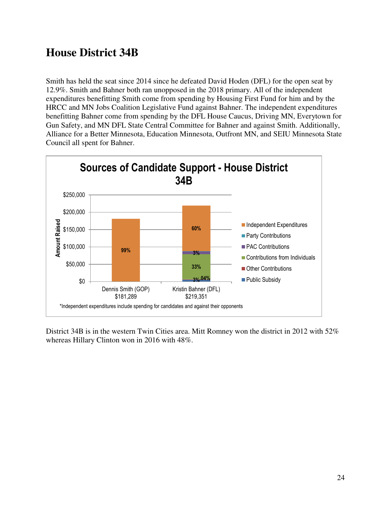## **House District 34B**

Smith has held the seat since 2014 since he defeated David Hoden (DFL) for the open seat by 12.9%. Smith and Bahner both ran unopposed in the 2018 primary. All of the independent expenditures benefitting Smith come from spending by Housing First Fund for him and by the HRCC and MN Jobs Coalition Legislative Fund against Bahner. The independent expenditures benefitting Bahner come from spending by the DFL House Caucus, Driving MN, Everytown for Gun Safety, and MN DFL State Central Committee for Bahner and against Smith. Additionally, Alliance for a Better Minnesota, Education Minnesota, Outfront MN, and SEIU Minnesota State Council all spent for Bahner.



District 34B is in the western Twin Cities area. Mitt Romney won the district in 2012 with 52% whereas Hillary Clinton won in 2016 with 48%.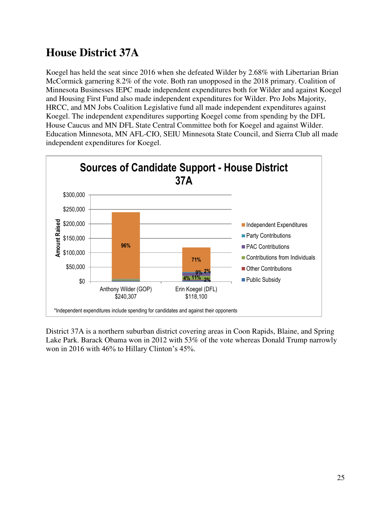# **House District 37A**

Koegel has held the seat since 2016 when she defeated Wilder by 2.68% with Libertarian Brian McCormick garnering 8.2% of the vote. Both ran unopposed in the 2018 primary. Coalition of Minnesota Businesses IEPC made independent expenditures both for Wilder and against Koegel and Housing First Fund also made independent expenditures for Wilder. Pro Jobs Majority, HRCC, and MN Jobs Coalition Legislative fund all made independent expenditures against Koegel. The independent expenditures supporting Koegel come from spending by the DFL House Caucus and MN DFL State Central Committee both for Koegel and against Wilder. Education Minnesota, MN AFL-CIO, SEIU Minnesota State Council, and Sierra Club all made independent expenditures for Koegel.



District 37A is a northern suburban district covering areas in Coon Rapids, Blaine, and Spring Lake Park. Barack Obama won in 2012 with 53% of the vote whereas Donald Trump narrowly won in 2016 with 46% to Hillary Clinton's 45%.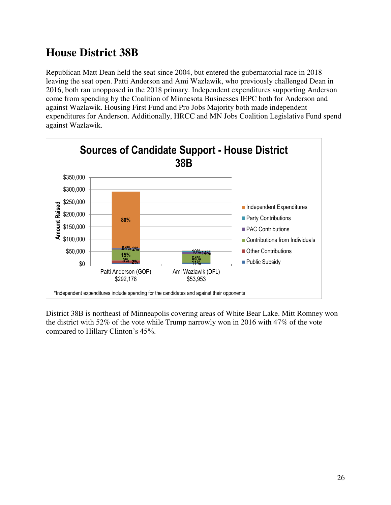# **House District 38B**

Republican Matt Dean held the seat since 2004, but entered the gubernatorial race in 2018 leaving the seat open. Patti Anderson and Ami Wazlawik, who previously challenged Dean in 2016, both ran unopposed in the 2018 primary. Independent expenditures supporting Anderson come from spending by the Coalition of Minnesota Businesses IEPC both for Anderson and against Wazlawik. Housing First Fund and Pro Jobs Majority both made independent expenditures for Anderson. Additionally, HRCC and MN Jobs Coalition Legislative Fund spend against Wazlawik.



District 38B is northeast of Minneapolis covering areas of White Bear Lake. Mitt Romney won the district with 52% of the vote while Trump narrowly won in 2016 with 47% of the vote compared to Hillary Clinton's 45%.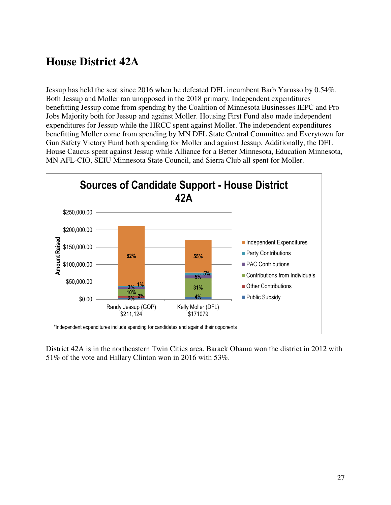## **House District 42A**

Jessup has held the seat since 2016 when he defeated DFL incumbent Barb Yarusso by 0.54%. Both Jessup and Moller ran unopposed in the 2018 primary. Independent expenditures benefitting Jessup come from spending by the Coalition of Minnesota Businesses IEPC and Pro Jobs Majority both for Jessup and against Moller. Housing First Fund also made independent expenditures for Jessup while the HRCC spent against Moller. The independent expenditures benefitting Moller come from spending by MN DFL State Central Committee and Everytown for Gun Safety Victory Fund both spending for Moller and against Jessup. Additionally, the DFL House Caucus spent against Jessup while Alliance for a Better Minnesota, Education Minnesota, MN AFL-CIO, SEIU Minnesota State Council, and Sierra Club all spent for Moller.



District 42A is in the northeastern Twin Cities area. Barack Obama won the district in 2012 with 51% of the vote and Hillary Clinton won in 2016 with 53%.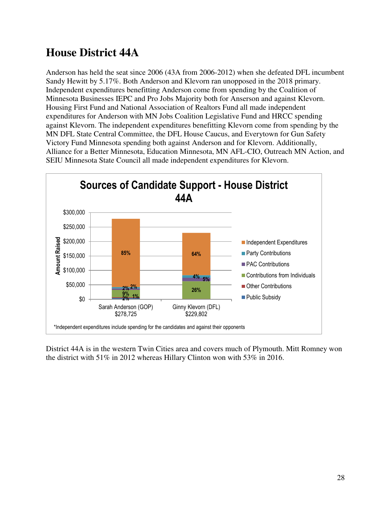# **House District 44A**

Anderson has held the seat since 2006 (43A from 2006-2012) when she defeated DFL incumbent Sandy Hewitt by 5.17%. Both Anderson and Klevorn ran unopposed in the 2018 primary. Independent expenditures benefitting Anderson come from spending by the Coalition of Minnesota Businesses IEPC and Pro Jobs Majority both for Anserson and against Klevorn. Housing First Fund and National Association of Realtors Fund all made independent expenditures for Anderson with MN Jobs Coalition Legislative Fund and HRCC spending against Klevorn. The independent expenditures benefitting Klevorn come from spending by the MN DFL State Central Committee, the DFL House Caucus, and Everytown for Gun Safety Victory Fund Minnesota spending both against Anderson and for Klevorn. Additionally, Alliance for a Better Minnesota, Education Minnesota, MN AFL-CIO, Outreach MN Action, and SEIU Minnesota State Council all made independent expenditures for Klevorn.



District 44A is in the western Twin Cities area and covers much of Plymouth. Mitt Romney won the district with 51% in 2012 whereas Hillary Clinton won with 53% in 2016.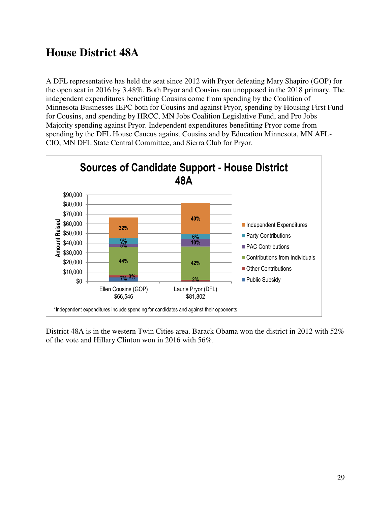### **House District 48A**

A DFL representative has held the seat since 2012 with Pryor defeating Mary Shapiro (GOP) for the open seat in 2016 by 3.48%. Both Pryor and Cousins ran unopposed in the 2018 primary. The independent expenditures benefitting Cousins come from spending by the Coalition of Minnesota Businesses IEPC both for Cousins and against Pryor, spending by Housing First Fund for Cousins, and spending by HRCC, MN Jobs Coalition Legislative Fund, and Pro Jobs Majority spending against Pryor. Independent expenditures benefitting Pryor come from spending by the DFL House Caucus against Cousins and by Education Minnesota, MN AFL-CIO, MN DFL State Central Committee, and Sierra Club for Pryor.



District 48A is in the western Twin Cities area. Barack Obama won the district in 2012 with 52% of the vote and Hillary Clinton won in 2016 with 56%.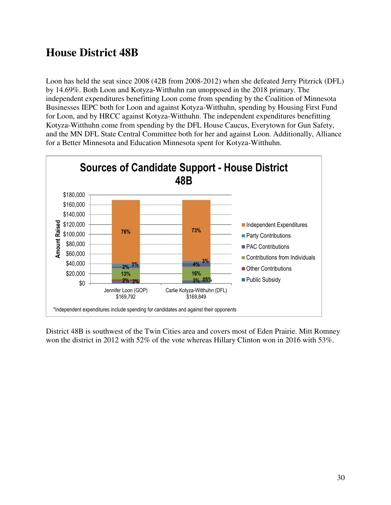#### **House District 48B**

Loon has held the seat since 2008 (42B from 2008-2012) when she defeated Jerry Pitzrick (DFL) by 14.69%. Both Loon and Kotyza-Witthuhn ran unopposed in the 2018 primary. The independent expenditures benefitting Loon come from spending by the Coalition of Minnesota Businesses IEPC both for Loon and against Kotyza-Witthuhn, spending by Housing First Fund for Loon, and by HRCC against Kotyza-Witthuhn. The independent expenditures benefitting Kotyza-Witthuhn come from spending by the DFL House Caucus, Everytown for Gun Safety, and the MN DFL State Central Committee both for her and against Loon. Additionally, Alliance for a Better Minnesota and Education Minnesota spent for Kotyza-Witthuhn.



District 48B is southwest of the Twin Cities area and covers most of Eden Prairie. Mitt Romney won the district in 2012 with 52% of the vote whereas Hillary Clinton won in 2016 with 53%.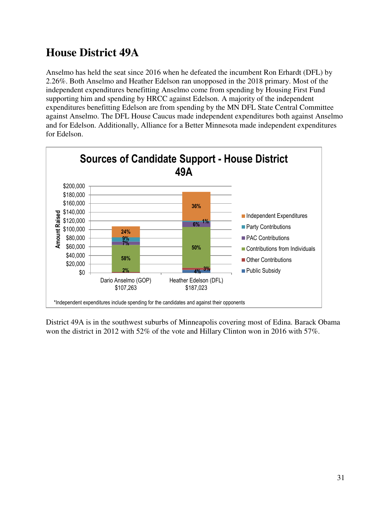# **House District 49A**

Anselmo has held the seat since 2016 when he defeated the incumbent Ron Erhardt (DFL) by 2.26%. Both Anselmo and Heather Edelson ran unopposed in the 2018 primary. Most of the independent expenditures benefitting Anselmo come from spending by Housing First Fund supporting him and spending by HRCC against Edelson. A majority of the independent expenditures benefitting Edelson are from spending by the MN DFL State Central Committee against Anselmo. The DFL House Caucus made independent expenditures both against Anselmo and for Edelson. Additionally, Alliance for a Better Minnesota made independent expenditures for Edelson.



District 49A is in the southwest suburbs of Minneapolis covering most of Edina. Barack Obama won the district in 2012 with 52% of the vote and Hillary Clinton won in 2016 with 57%.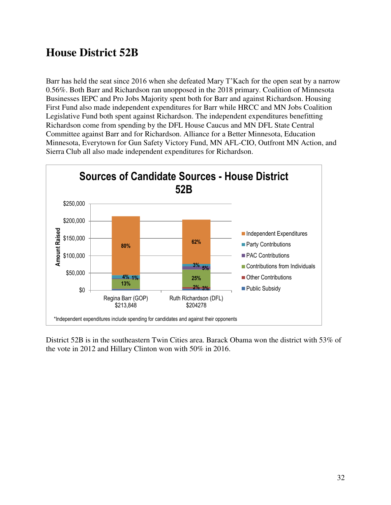## **House District 52B**

Barr has held the seat since 2016 when she defeated Mary T'Kach for the open seat by a narrow 0.56%. Both Barr and Richardson ran unopposed in the 2018 primary. Coalition of Minnesota Businesses IEPC and Pro Jobs Majority spent both for Barr and against Richardson. Housing First Fund also made independent expenditures for Barr while HRCC and MN Jobs Coalition Legislative Fund both spent against Richardson. The independent expenditures benefitting Richardson come from spending by the DFL House Caucus and MN DFL State Central Committee against Barr and for Richardson. Alliance for a Better Minnesota, Education Minnesota, Everytown for Gun Safety Victory Fund, MN AFL-CIO, Outfront MN Action, and Sierra Club all also made independent expenditures for Richardson.



District 52B is in the southeastern Twin Cities area. Barack Obama won the district with 53% of the vote in 2012 and Hillary Clinton won with 50% in 2016.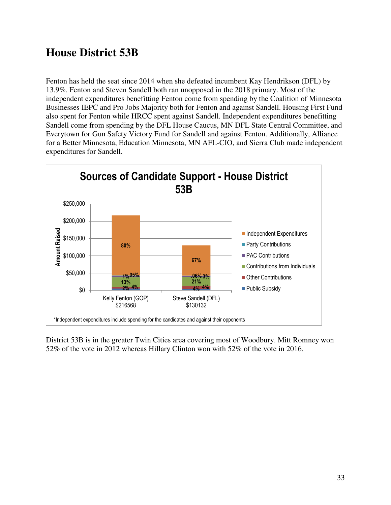## **House District 53B**

Fenton has held the seat since 2014 when she defeated incumbent Kay Hendrikson (DFL) by 13.9%. Fenton and Steven Sandell both ran unopposed in the 2018 primary. Most of the independent expenditures benefitting Fenton come from spending by the Coalition of Minnesota Businesses IEPC and Pro Jobs Majority both for Fenton and against Sandell. Housing First Fund also spent for Fenton while HRCC spent against Sandell. Independent expenditures benefitting Sandell come from spending by the DFL House Caucus, MN DFL State Central Committee, and Everytown for Gun Safety Victory Fund for Sandell and against Fenton. Additionally, Alliance for a Better Minnesota, Education Minnesota, MN AFL-CIO, and Sierra Club made independent expenditures for Sandell.



District 53B is in the greater Twin Cities area covering most of Woodbury. Mitt Romney won 52% of the vote in 2012 whereas Hillary Clinton won with 52% of the vote in 2016.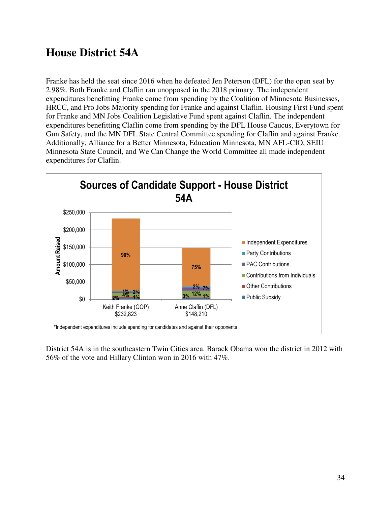## **House District 54A**

Franke has held the seat since 2016 when he defeated Jen Peterson (DFL) for the open seat by 2.98%. Both Franke and Claflin ran unopposed in the 2018 primary. The independent expenditures benefitting Franke come from spending by the Coalition of Minnesota Businesses, HRCC, and Pro Jobs Majority spending for Franke and against Claflin. Housing First Fund spent for Franke and MN Jobs Coalition Legislative Fund spent against Claflin. The independent expenditures benefitting Claflin come from spending by the DFL House Caucus, Everytown for Gun Safety, and the MN DFL State Central Committee spending for Claflin and against Franke. Additionally, Alliance for a Better Minnesota, Education Minnesota, MN AFL-CIO, SEIU Minnesota State Council, and We Can Change the World Committee all made independent expenditures for Claflin.



District 54A is in the southeastern Twin Cities area. Barack Obama won the district in 2012 with 56% of the vote and Hillary Clinton won in 2016 with 47%.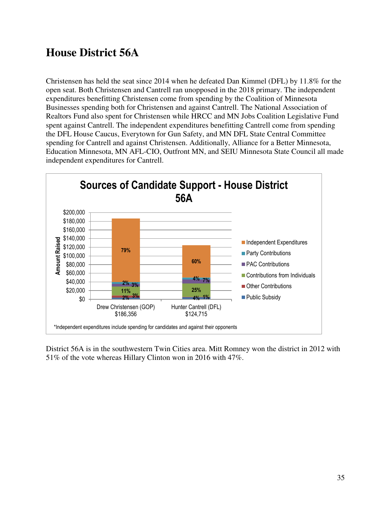## **House District 56A**

Christensen has held the seat since 2014 when he defeated Dan Kimmel (DFL) by 11.8% for the open seat. Both Christensen and Cantrell ran unopposed in the 2018 primary. The independent expenditures benefitting Christensen come from spending by the Coalition of Minnesota Businesses spending both for Christensen and against Cantrell. The National Association of Realtors Fund also spent for Christensen while HRCC and MN Jobs Coalition Legislative Fund spent against Cantrell. The independent expenditures benefitting Cantrell come from spending the DFL House Caucus, Everytown for Gun Safety, and MN DFL State Central Committee spending for Cantrell and against Christensen. Additionally, Alliance for a Better Minnesota, Education Minnesota, MN AFL-CIO, Outfront MN, and SEIU Minnesota State Council all made independent expenditures for Cantrell.



District 56A is in the southwestern Twin Cities area. Mitt Romney won the district in 2012 with 51% of the vote whereas Hillary Clinton won in 2016 with 47%.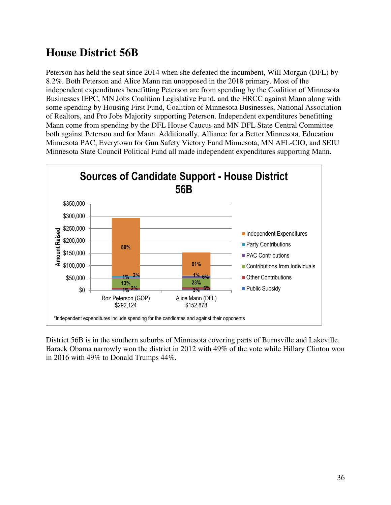## **House District 56B**

Peterson has held the seat since 2014 when she defeated the incumbent, Will Morgan (DFL) by 8.2%. Both Peterson and Alice Mann ran unopposed in the 2018 primary. Most of the independent expenditures benefitting Peterson are from spending by the Coalition of Minnesota Businesses IEPC, MN Jobs Coalition Legislative Fund, and the HRCC against Mann along with some spending by Housing First Fund, Coalition of Minnesota Businesses, National Association of Realtors, and Pro Jobs Majority supporting Peterson. Independent expenditures benefitting Mann come from spending by the DFL House Caucus and MN DFL State Central Committee both against Peterson and for Mann. Additionally, Alliance for a Better Minnesota, Education Minnesota PAC, Everytown for Gun Safety Victory Fund Minnesota, MN AFL-CIO, and SEIU Minnesota State Council Political Fund all made independent expenditures supporting Mann.



District 56B is in the southern suburbs of Minnesota covering parts of Burnsville and Lakeville. Barack Obama narrowly won the district in 2012 with 49% of the vote while Hillary Clinton won in 2016 with 49% to Donald Trumps 44%.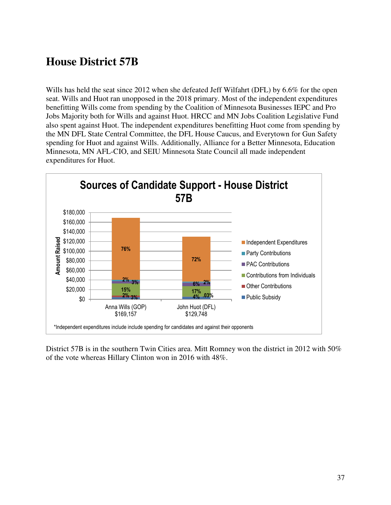### **House District 57B**

Wills has held the seat since 2012 when she defeated Jeff Wilfahrt (DFL) by 6.6% for the open seat. Wills and Huot ran unopposed in the 2018 primary. Most of the independent expenditures benefitting Wills come from spending by the Coalition of Minnesota Businesses IEPC and Pro Jobs Majority both for Wills and against Huot. HRCC and MN Jobs Coalition Legislative Fund also spent against Huot. The independent expenditures benefitting Huot come from spending by the MN DFL State Central Committee, the DFL House Caucus, and Everytown for Gun Safety spending for Huot and against Wills. Additionally, Alliance for a Better Minnesota, Education Minnesota, MN AFL-CIO, and SEIU Minnesota State Council all made independent expenditures for Huot.



District 57B is in the southern Twin Cities area. Mitt Romney won the district in 2012 with 50% of the vote whereas Hillary Clinton won in 2016 with 48%.